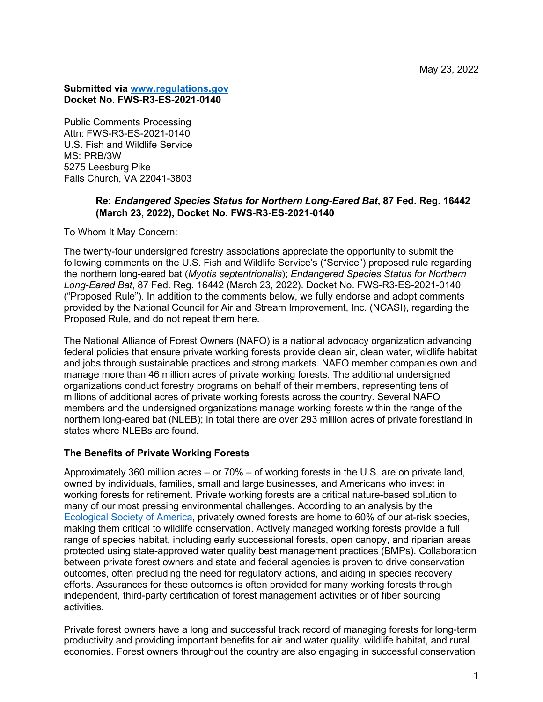## **Submitted via [www.regulations.gov](http://www.regulations.gov/)  Docket No. FWS-R3-ES-2021-0140**

Public Comments Processing Attn: FWS-R3-ES-2021-0140 U.S. Fish and Wildlife Service MS: PRB/3W 5275 Leesburg Pike Falls Church, VA 22041-3803

## **Re:** *Endangered Species Status for Northern Long-Eared Bat***, 87 Fed. Reg. 16442 (March 23, 2022), Docket No. FWS-R3-ES-2021-0140**

To Whom It May Concern:

The twenty-four undersigned forestry associations appreciate the opportunity to submit the following comments on the U.S. Fish and Wildlife Service's ("Service") proposed rule regarding the northern long-eared bat (*Myotis septentrionalis*); *Endangered Species Status for Northern Long-Eared Bat*, 87 Fed. Reg. 16442 (March 23, 2022). Docket No. FWS-R3-ES-2021-0140 ("Proposed Rule"). In addition to the comments below, we fully endorse and adopt comments provided by the National Council for Air and Stream Improvement, Inc. (NCASI), regarding the Proposed Rule, and do not repeat them here.

The National Alliance of Forest Owners (NAFO) is a national advocacy organization advancing federal policies that ensure private working forests provide clean air, clean water, wildlife habitat and jobs through sustainable practices and strong markets. NAFO member companies own and manage more than 46 million acres of private working forests. The additional undersigned organizations conduct forestry programs on behalf of their members, representing tens of millions of additional acres of private working forests across the country. Several NAFO members and the undersigned organizations manage working forests within the range of the northern long-eared bat (NLEB); in total there are over 293 million acres of private forestland in states where NLEBs are found.

## **The Benefits of Private Working Forests**

Approximately 360 million acres – or 70% – of working forests in the U.S. are on private land, owned by individuals, families, small and large businesses, and Americans who invest in working forests for retirement. Private working forests are a critical nature-based solution to many of our most pressing environmental challenges. According to an analysis by the [Ecological Society of America,](https://nafoalliance.org/wp-content/uploads/Wildlife/The-geography-of-private-forests-that-Support-At-Risk-Species.pdf) privately owned forests are home to 60% of our at-risk species, making them critical to wildlife conservation. Actively managed working forests provide a full range of species habitat, including early successional forests, open canopy, and riparian areas protected using state-approved water quality best management practices (BMPs). Collaboration between private forest owners and state and federal agencies is proven to drive conservation outcomes, often precluding the need for regulatory actions, and aiding in species recovery efforts. Assurances for these outcomes is often provided for many working forests through independent, third-party certification of forest management activities or of fiber sourcing activities.

Private forest owners have a long and successful track record of managing forests for long-term productivity and providing important benefits for air and water quality, wildlife habitat, and rural economies. Forest owners throughout the country are also engaging in successful conservation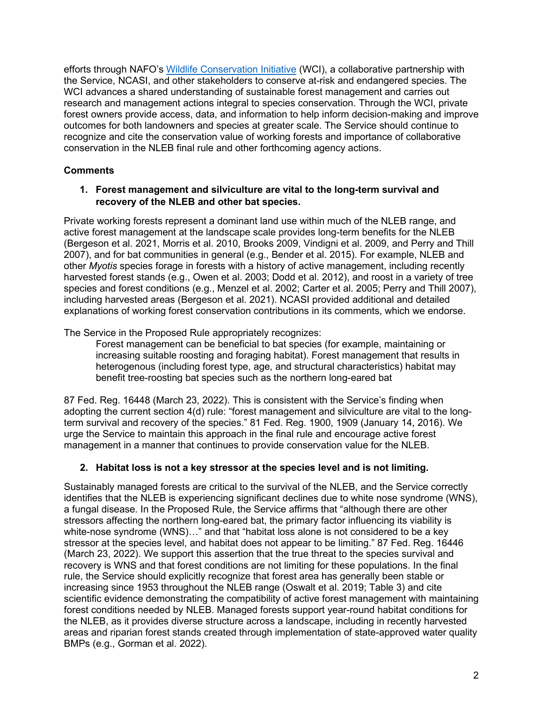efforts through NAFO's [Wildlife Conservation Initiative](https://nafoalliance.org/issues/wildlife/) (WCI), a collaborative partnership with the Service, NCASI, and other stakeholders to conserve at-risk and endangered species. The WCI advances a shared understanding of sustainable forest management and carries out research and management actions integral to species conservation. Through the WCI, private forest owners provide access, data, and information to help inform decision-making and improve outcomes for both landowners and species at greater scale. The Service should continue to recognize and cite the conservation value of working forests and importance of collaborative conservation in the NLEB final rule and other forthcoming agency actions.

# **Comments**

## **1. Forest management and silviculture are vital to the long-term survival and recovery of the NLEB and other bat species.**

Private working forests represent a dominant land use within much of the NLEB range, and active forest management at the landscape scale provides long-term benefits for the NLEB (Bergeson et al. 2021, Morris et al. 2010, Brooks 2009, Vindigni et al. 2009, and Perry and Thill 2007), and for bat communities in general (e.g., Bender et al. 2015). For example, NLEB and other *Myotis* species forage in forests with a history of active management, including recently harvested forest stands (e.g., Owen et al. 2003; Dodd et al. 2012), and roost in a variety of tree species and forest conditions (e.g., Menzel et al. 2002; Carter et al. 2005; Perry and Thill 2007), including harvested areas (Bergeson et al. 2021). NCASI provided additional and detailed explanations of working forest conservation contributions in its comments, which we endorse.

The Service in the Proposed Rule appropriately recognizes:

Forest management can be beneficial to bat species (for example, maintaining or increasing suitable roosting and foraging habitat). Forest management that results in heterogenous (including forest type, age, and structural characteristics) habitat may benefit tree-roosting bat species such as the northern long-eared bat

87 Fed. Reg. 16448 (March 23, 2022). This is consistent with the Service's finding when adopting the current section 4(d) rule: "forest management and silviculture are vital to the longterm survival and recovery of the species." 81 Fed. Reg. 1900, 1909 (January 14, 2016). We urge the Service to maintain this approach in the final rule and encourage active forest management in a manner that continues to provide conservation value for the NLEB.

# **2. Habitat loss is not a key stressor at the species level and is not limiting.**

Sustainably managed forests are critical to the survival of the NLEB, and the Service correctly identifies that the NLEB is experiencing significant declines due to white nose syndrome (WNS), a fungal disease. In the Proposed Rule, the Service affirms that "although there are other stressors affecting the northern long-eared bat, the primary factor influencing its viability is white-nose syndrome (WNS)…" and that "habitat loss alone is not considered to be a key stressor at the species level, and habitat does not appear to be limiting." 87 Fed. Reg. 16446 (March 23, 2022). We support this assertion that the true threat to the species survival and recovery is WNS and that forest conditions are not limiting for these populations. In the final rule, the Service should explicitly recognize that forest area has generally been stable or increasing since 1953 throughout the NLEB range (Oswalt et al. 2019; Table 3) and cite scientific evidence demonstrating the compatibility of active forest management with maintaining forest conditions needed by NLEB. Managed forests support year-round habitat conditions for the NLEB, as it provides diverse structure across a landscape, including in recently harvested areas and riparian forest stands created through implementation of state-approved water quality BMPs (e.g., Gorman et al. 2022).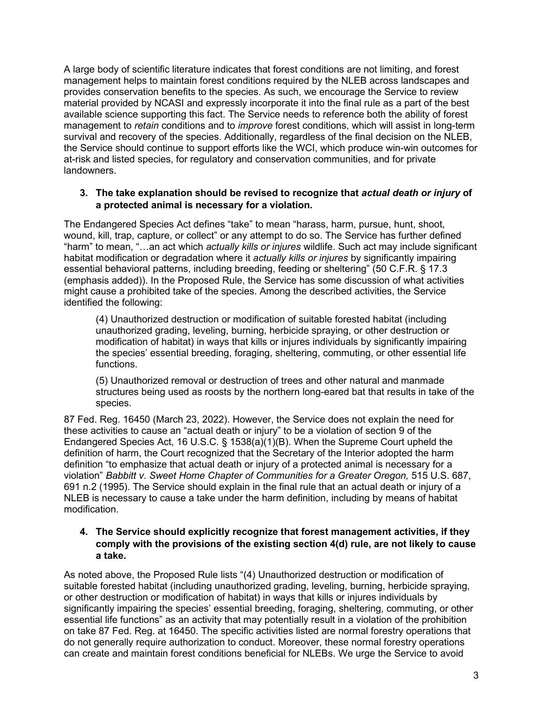A large body of scientific literature indicates that forest conditions are not limiting, and forest management helps to maintain forest conditions required by the NLEB across landscapes and provides conservation benefits to the species. As such, we encourage the Service to review material provided by NCASI and expressly incorporate it into the final rule as a part of the best available science supporting this fact. The Service needs to reference both the ability of forest management to *retain* conditions and to *improve* forest conditions, which will assist in long-term survival and recovery of the species. Additionally, regardless of the final decision on the NLEB, the Service should continue to support efforts like the WCI, which produce win-win outcomes for at-risk and listed species, for regulatory and conservation communities, and for private landowners.

## **3. The take explanation should be revised to recognize that** *actual death or injury* **of a protected animal is necessary for a violation.**

The Endangered Species Act defines "take" to mean "harass, harm, pursue, hunt, shoot, wound, kill, trap, capture, or collect" or any attempt to do so. The Service has further defined "harm" to mean, "…an act which *actually kills or injures* wildlife. Such act may include significant habitat modification or degradation where it *actually kills or injures* by significantly impairing essential behavioral patterns, including breeding, feeding or sheltering" (50 C.F.R. § 17.3 (emphasis added)). In the Proposed Rule, the Service has some discussion of what activities might cause a prohibited take of the species. Among the described activities, the Service identified the following:

(4) Unauthorized destruction or modification of suitable forested habitat (including unauthorized grading, leveling, burning, herbicide spraying, or other destruction or modification of habitat) in ways that kills or injures individuals by significantly impairing the species' essential breeding, foraging, sheltering, commuting, or other essential life functions.

(5) Unauthorized removal or destruction of trees and other natural and manmade structures being used as roosts by the northern long-eared bat that results in take of the species.

87 Fed. Reg. 16450 (March 23, 2022). However, the Service does not explain the need for these activities to cause an "actual death or injury" to be a violation of section 9 of the Endangered Species Act, 16 U.S.C. § 1538(a)(1)(B). When the Supreme Court upheld the definition of harm, the Court recognized that the Secretary of the Interior adopted the harm definition "to emphasize that actual death or injury of a protected animal is necessary for a violation" *Babbitt v. Sweet Home Chapter of Communities for a Greater Oregon,* 515 U.S. 687, 691 n.2 (1995). The Service should explain in the final rule that an actual death or injury of a NLEB is necessary to cause a take under the harm definition, including by means of habitat modification.

## **4. The Service should explicitly recognize that forest management activities, if they comply with the provisions of the existing section 4(d) rule, are not likely to cause a take.**

As noted above, the Proposed Rule lists "(4) Unauthorized destruction or modification of suitable forested habitat (including unauthorized grading, leveling, burning, herbicide spraying, or other destruction or modification of habitat) in ways that kills or injures individuals by significantly impairing the species' essential breeding, foraging, sheltering, commuting, or other essential life functions" as an activity that may potentially result in a violation of the prohibition on take 87 Fed. Reg. at 16450. The specific activities listed are normal forestry operations that do not generally require authorization to conduct. Moreover, these normal forestry operations can create and maintain forest conditions beneficial for NLEBs. We urge the Service to avoid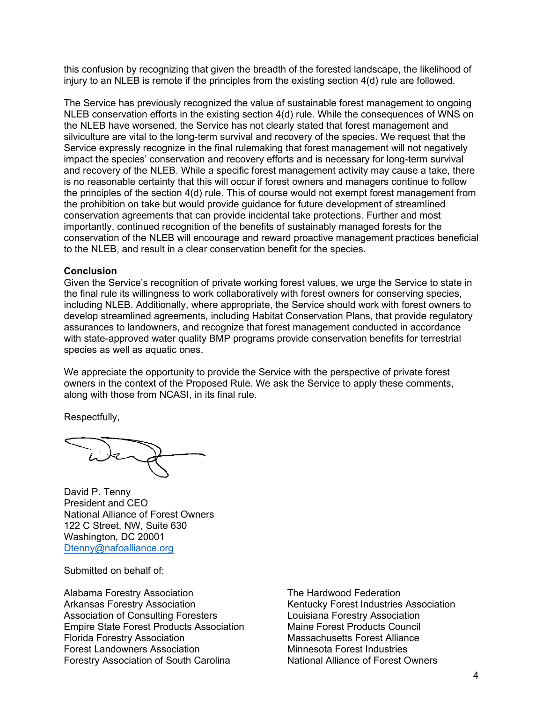this confusion by recognizing that given the breadth of the forested landscape, the likelihood of injury to an NLEB is remote if the principles from the existing section 4(d) rule are followed.

The Service has previously recognized the value of sustainable forest management to ongoing NLEB conservation efforts in the existing section 4(d) rule. While the consequences of WNS on the NLEB have worsened, the Service has not clearly stated that forest management and silviculture are vital to the long-term survival and recovery of the species. We request that the Service expressly recognize in the final rulemaking that forest management will not negatively impact the species' conservation and recovery efforts and is necessary for long-term survival and recovery of the NLEB. While a specific forest management activity may cause a take, there is no reasonable certainty that this will occur if forest owners and managers continue to follow the principles of the section 4(d) rule. This of course would not exempt forest management from the prohibition on take but would provide guidance for future development of streamlined conservation agreements that can provide incidental take protections. Further and most importantly, continued recognition of the benefits of sustainably managed forests for the conservation of the NLEB will encourage and reward proactive management practices beneficial to the NLEB, and result in a clear conservation benefit for the species.

#### **Conclusion**

Given the Service's recognition of private working forest values, we urge the Service to state in the final rule its willingness to work collaboratively with forest owners for conserving species, including NLEB. Additionally, where appropriate, the Service should work with forest owners to develop streamlined agreements, including Habitat Conservation Plans, that provide regulatory assurances to landowners, and recognize that forest management conducted in accordance with state-approved water quality BMP programs provide conservation benefits for terrestrial species as well as aquatic ones.

We appreciate the opportunity to provide the Service with the perspective of private forest owners in the context of the Proposed Rule. We ask the Service to apply these comments, along with those from NCASI, in its final rule.

Respectfully,

ide

David P. Tenny President and CEO National Alliance of Forest Owners 122 C Street, NW, Suite 630 Washington, DC 20001 Dtenny@nafoalliance.org

Submitted on behalf of:

Alabama Forestry Association Arkansas Forestry Association Association of Consulting Foresters Empire State Forest Products Association Florida Forestry Association Forest Landowners Association Forestry Association of South Carolina

The Hardwood Federation Kentucky Forest Industries Association Louisiana Forestry Association Maine Forest Products Council Massachusetts Forest Alliance Minnesota Forest Industries National Alliance of Forest Owners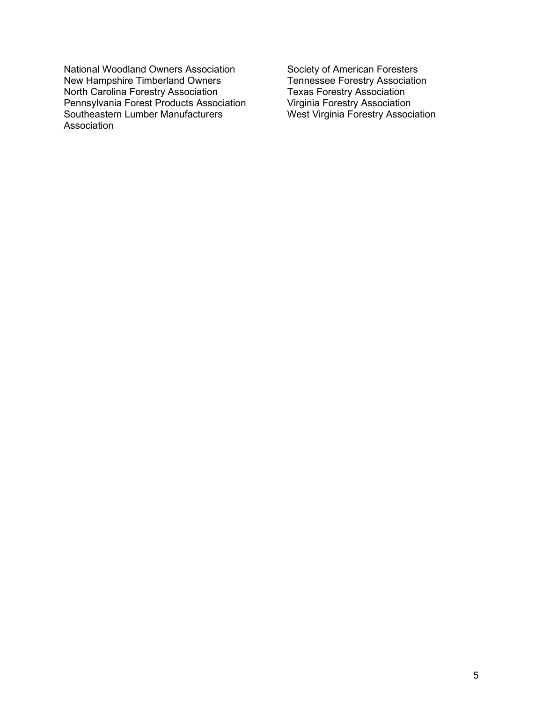National Woodland Owners Association New Hampshire Timberland Owners North Carolina Forestry Association Pennsylvania Forest Products Association Southeastern Lumber Manufacturers Association

Society of American Foresters Tennessee Forestry Association Texas Forestry Association Virginia Forestry Association West Virginia Forestry Association